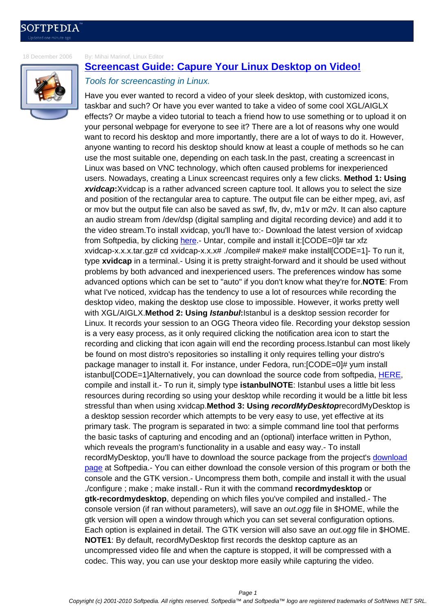[18 December 2006](http://news.softpedia.com) By: Mihai Marinof, Linux Editor

## **Screencast Guide: Capure Your Linux Desktop on Video!**

## Tools for screencasting in Linux.

Have you ever wanted to record a video of your sleek desktop, with customized icons, [taskbar and such? Or have you ever wanted to take a video of some cool XGL](http://news.softpedia.com/news/Screencast-Guide-Capure-Your-Linux-Desktop-on-Video-42626.shtml)/AIGLX effects? Or maybe a video tutorial to teach a friend how to use something or to upload it on your personal webpage for everyone to see it? There are a lot of reasons why one would want to record his desktop and more importantly, there are a lot of ways to do it. However, anyone wanting to record his desktop should know at least a couple of methods so he can use the most suitable one, depending on each task.In the past, creating a screencast in Linux was based on VNC technology, which often caused problems for inexperienced users. Nowadays, creating a Linux screencast requires only a few clicks. **Method 1: Using xvidcap:**Xvidcap is a rather advanced screen capture tool. It allows you to select the size and position of the rectangular area to capture. The output file can be either mpeg, avi, asf or mov but the output file can also be saved as swf, flv, dv, m1v or m2v. It can also capture an audio stream from /dev/dsp (digital sampling and digital recording device) and add it to the video stream.To install xvidcap, you'll have to:- Download the latest version of xvidcap from Softpedia, by clicking here.- Untar, compile and install it: [CODE=0]# tar xfz xvidcap-x.x.x.tar.gz# cd xvidcap-x.x.x# ./compile# make# make install[CODE=1]- To run it, type **xvidcap** in a terminal.- Using it is pretty straight-forward and it should be used without problems by both advanced and inexperienced users. The preferences window has some advanced options which c[an be](http://linux.softpedia.com/get/Multimedia/Video/Xvidcap-3761.shtml) set to "auto" if you don't know what they're for.**NOTE**: From what I've noticed, xvidcap has the tendency to use a lot of resources while recording the desktop video, making the desktop use close to impossible. However, it works pretty well with XGL/AIGLX.**Method 2: Using Istanbul:**Istanbul is a desktop session recorder for Linux. It records your session to an OGG Theora video file. Recording your dekstop session is a very easy process, as it only required clicking the notification area icon to start the recording and clicking that icon again will end the recording process.Istanbul can most likely be found on most distro's repositories so installing it only requires telling your distro's package manager to install it. For instance, under Fedora, run:[CODE=0]# yum install istanbul[CODE=1]Alternatively, you can download the source code from softpedia, HERE, compile and install it.- To run it, simply type **istanbulNOTE**: Istanbul uses a little bit less resources during recording so using your desktop while recording it would be a little bit less stressful than when using xvidcap.**Method 3: Using recordMyDesktop**recordMy[Desktop](http://linux.softpedia.com/get/Utilities/Istanbul-12358.shtml) is a desktop session recorder which attempts to be very easy to use, yet effective at its primary task. The program is separated in two: a simple command line tool that performs the basic tasks of capturing and encoding and an (optional) interface written in Python, which reveals the program's functionality in a usable and easy way.- To install recordMyDesktop, you'll have to download the source package from the project's download page at Softpedia.- You can either download the console version of this program or both the console and the GTK version.- Uncompress them both, compile and install it with the usual ./configure ; make ; make install.- Run it with the command **recordmydesktop** or **gtk-recordmydesktop**, depending on which files you've compiled and installed.- [The](http://linux.softpedia.com/get/Multimedia/Video/recordMyDesktop-15059.shtml) [conso](http://linux.softpedia.com/get/Multimedia/Video/recordMyDesktop-15059.shtml)le version (if ran without parameters), will save an *out.ogg* file in \$HOME, while the gtk version will open a window through which you can set several configuration options. Each option is explained in detail. The GTK version will also save an out.ogg file in \$HOME. **NOTE1**: By default, recordMyDesktop first records the desktop capture as an uncompressed video file and when the capture is stopped, it will be compressed with a codec. This way, you can use your desktop more easily while capturing the video.